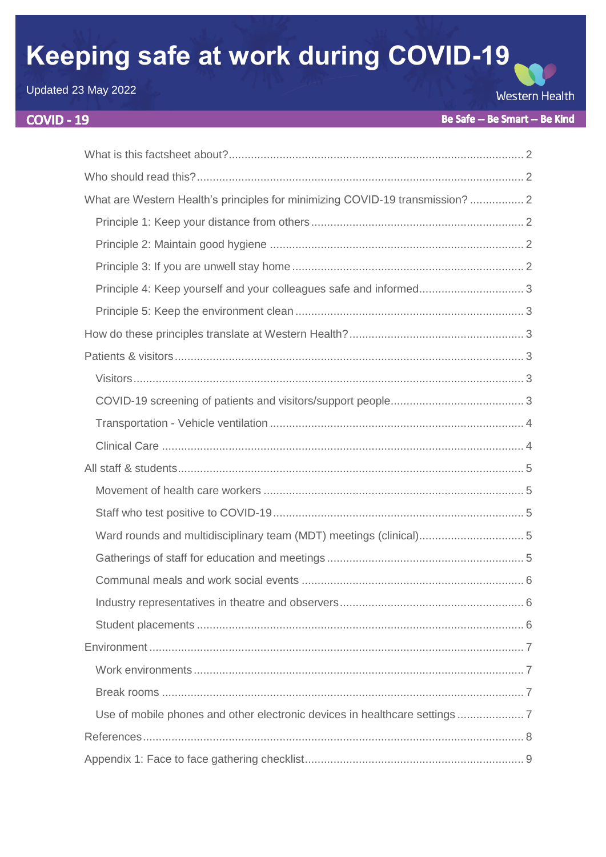# Keeping safe at work during COVID-19

Updated 23 May 2022

# **COVID - 19**

**Western Health** 

| What are Western Health's principles for minimizing COVID-19 transmission?  2 |
|-------------------------------------------------------------------------------|
|                                                                               |
|                                                                               |
|                                                                               |
|                                                                               |
|                                                                               |
|                                                                               |
|                                                                               |
|                                                                               |
|                                                                               |
|                                                                               |
|                                                                               |
|                                                                               |
|                                                                               |
|                                                                               |
|                                                                               |
|                                                                               |
|                                                                               |
|                                                                               |
|                                                                               |
|                                                                               |
|                                                                               |
|                                                                               |
|                                                                               |
|                                                                               |
|                                                                               |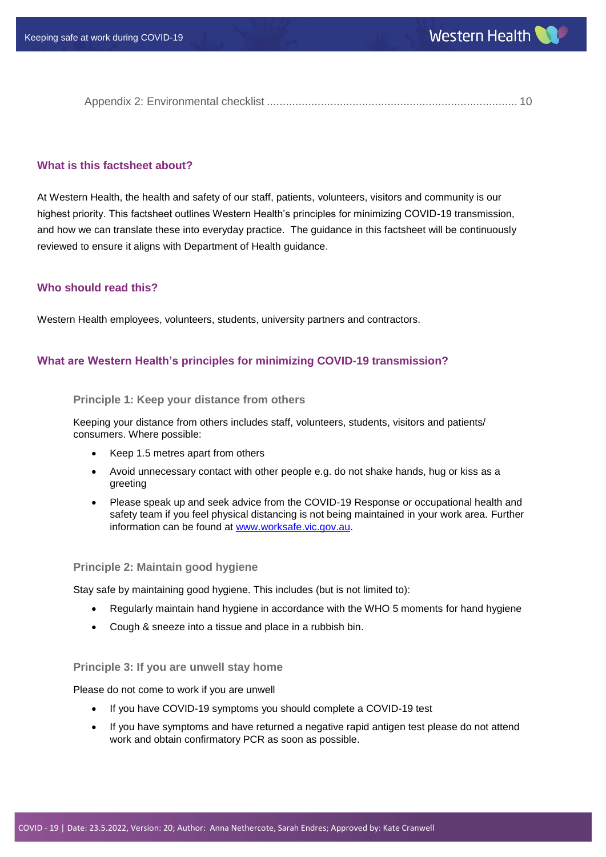Appendix 2: Environmental checklist [...............................................................................](#page-9-0) 10

## <span id="page-1-0"></span>**What is this factsheet about?**

At Western Health, the health and safety of our staff, patients, volunteers, visitors and community is our highest priority. This factsheet outlines Western Health's principles for minimizing COVID-19 transmission, and how we can translate these into everyday practice. The guidance in this factsheet will be continuously reviewed to ensure it aligns with Department of Health guidance.

## <span id="page-1-1"></span>**Who should read this?**

Western Health employees, volunteers, students, university partners and contractors.

## <span id="page-1-2"></span>**What are Western Health's principles for minimizing COVID-19 transmission?**

#### <span id="page-1-3"></span>**Principle 1: Keep your distance from others**

Keeping your distance from others includes staff, volunteers, students, visitors and patients/ consumers. Where possible:

- Keep 1.5 metres apart from others
- Avoid unnecessary contact with other people e.g. do not shake hands, hug or kiss as a greeting
- Please speak up and seek advice from the COVID-19 Response or occupational health and safety team if you feel physical distancing is not being maintained in your work area. Further information can be found at [www.worksafe.vic.gov.au.](http://www.worksafe.vic.gov.au/)

#### <span id="page-1-4"></span>**Principle 2: Maintain good hygiene**

Stay safe by maintaining good hygiene. This includes (but is not limited to):

- Regularly maintain hand hygiene in accordance with the WHO 5 moments for hand hygiene
- Cough & sneeze into a tissue and place in a rubbish bin.

#### <span id="page-1-5"></span>**Principle 3: If you are unwell stay home**

Please do not come to work if you are unwell

- If you have COVID-19 symptoms you should complete a COVID-19 test
- If you have symptoms and have returned a negative rapid antigen test please do not attend work and obtain confirmatory PCR as soon as possible.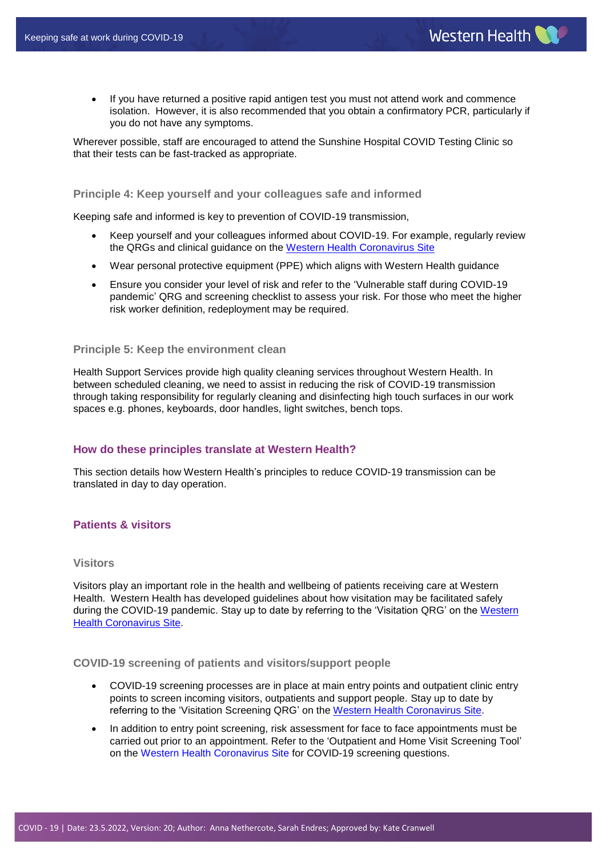If you have returned a positive rapid antigen test you must not attend work and commence isolation. However, it is also recommended that you obtain a confirmatory PCR, particularly if you do not have any symptoms.

Wherever possible, staff are encouraged to attend the Sunshine Hospital COVID Testing Clinic so that their tests can be fast-tracked as appropriate.

## <span id="page-2-0"></span>**Principle 4: Keep yourself and your colleagues safe and informed**

Keeping safe and informed is key to prevention of COVID-19 transmission,

- Keep yourself and your colleagues informed about COVID-19. For example, regularly review the QRGs and clinical guidance on the [Western Health Coronavirus Site](https://coronavirus.wh.org.au/)
- Wear personal protective equipment (PPE) which aligns with Western Health guidance
- Ensure you consider your level of risk and refer to the 'Vulnerable staff during COVID-19 pandemic' QRG and screening checklist to assess your risk. For those who meet the higher risk worker definition, redeployment may be required.

#### <span id="page-2-1"></span>**Principle 5: Keep the environment clean**

Health Support Services provide high quality cleaning services throughout Western Health. In between scheduled cleaning, we need to assist in reducing the risk of COVID-19 transmission through taking responsibility for regularly cleaning and disinfecting high touch surfaces in our work spaces e.g. phones, keyboards, door handles, light switches, bench tops.

## <span id="page-2-2"></span>**How do these principles translate at Western Health?**

This section details how Western Health's principles to reduce COVID-19 transmission can be translated in day to day operation.

## <span id="page-2-3"></span>**Patients & visitors**

#### <span id="page-2-4"></span>**Visitors**

Visitors play an important role in the health and wellbeing of patients receiving care at Western Health. Western Health has developed guidelines about how visitation may be facilitated safely during the COVID-19 pandemic. Stay up to date by referring to the 'Visitation QRG' on the [Western](https://coronavirus.wh.org.au/quick-reference-guides/)  [Health Coronavirus Site.](https://coronavirus.wh.org.au/quick-reference-guides/)

## <span id="page-2-5"></span>**COVID-19 screening of patients and visitors/support people**

- COVID-19 screening processes are in place at main entry points and outpatient clinic entry points to screen incoming visitors, outpatients and support people. Stay up to date by referring to the 'Visitation Screening QRG' on the [Western Health Coronavirus Site.](https://coronavirus.wh.org.au/quick-reference-guides/)
- In addition to entry point screening, risk assessment for face to face appointments must be carried out prior to an appointment. Refer to the 'Outpatient and Home Visit Screening Tool' on the [Western Health Coronavirus Site](https://coronavirus.wh.org.au/quick-reference-guides/) for COVID-19 screening questions.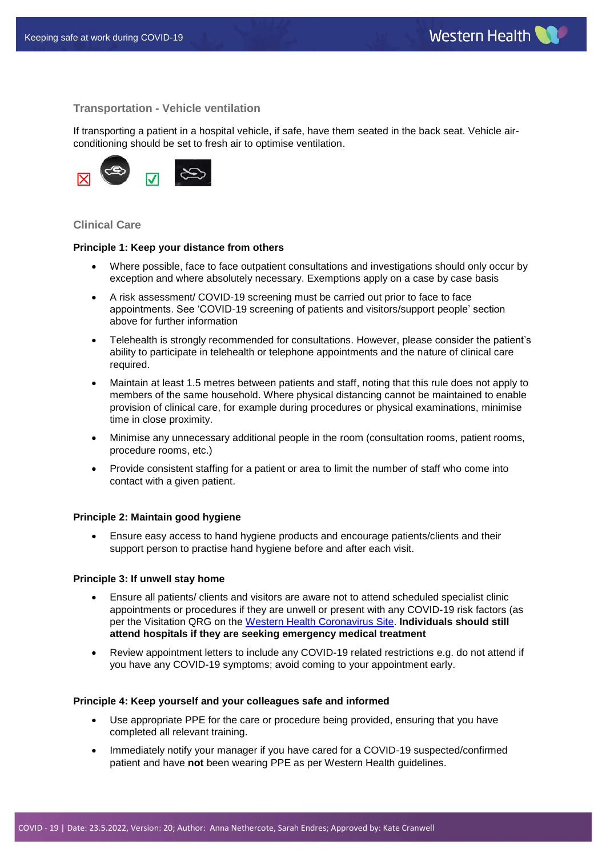#### <span id="page-3-0"></span>**Transportation - Vehicle ventilation**

If transporting a patient in a hospital vehicle, if safe, have them seated in the back seat. Vehicle airconditioning should be set to fresh air to optimise ventilation.



#### <span id="page-3-1"></span>**Clinical Care**

#### **Principle 1: Keep your distance from others**

- Where possible, face to face outpatient consultations and investigations should only occur by exception and where absolutely necessary. Exemptions apply on a case by case basis
- A risk assessment/ COVID-19 screening must be carried out prior to face to face appointments. See 'COVID-19 screening of patients and visitors/support people' section above for further information
- Telehealth is strongly recommended for consultations. However, please consider the patient's ability to participate in telehealth or telephone appointments and the nature of clinical care required.
- Maintain at least 1.5 metres between patients and staff, noting that this rule does not apply to members of the same household. Where physical distancing cannot be maintained to enable provision of clinical care, for example during procedures or physical examinations, minimise time in close proximity.
- Minimise any unnecessary additional people in the room (consultation rooms, patient rooms, procedure rooms, etc.)
- Provide consistent staffing for a patient or area to limit the number of staff who come into contact with a given patient.

#### **Principle 2: Maintain good hygiene**

 Ensure easy access to hand hygiene products and encourage patients/clients and their support person to practise hand hygiene before and after each visit.

#### **Principle 3: If unwell stay home**

- Ensure all patients/ clients and visitors are aware not to attend scheduled specialist clinic appointments or procedures if they are unwell or present with any COVID-19 risk factors (as per the Visitation QRG on the [Western Health Coronavirus Site.](https://coronavirus.wh.org.au/quick-reference-guides/) **Individuals should still attend hospitals if they are seeking emergency medical treatment**
- Review appointment letters to include any COVID-19 related restrictions e.g. do not attend if you have any COVID-19 symptoms; avoid coming to your appointment early.

#### **Principle 4: Keep yourself and your colleagues safe and informed**

- Use appropriate PPE for the care or procedure being provided, ensuring that you have completed all relevant training.
- Immediately notify your manager if you have cared for a COVID-19 suspected/confirmed patient and have **not** been wearing PPE as per Western Health guidelines.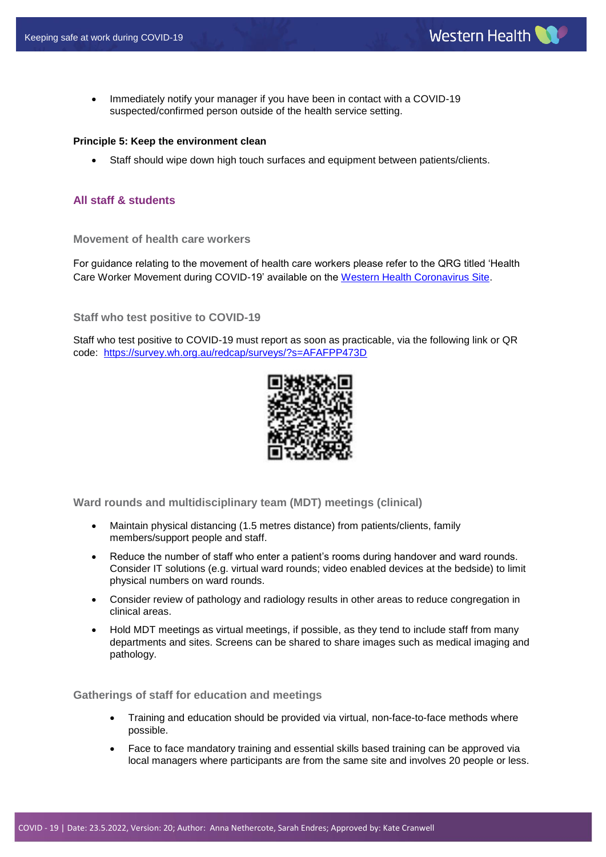• Immediately notify your manager if you have been in contact with a COVID-19 suspected/confirmed person outside of the health service setting.

## **Principle 5: Keep the environment clean**

Staff should wipe down high touch surfaces and equipment between patients/clients.

## <span id="page-4-0"></span>**All staff & students**

## <span id="page-4-1"></span>**Movement of health care workers**

For guidance relating to the movement of health care workers please refer to the QRG titled 'Health Care Worker Movement during COVID-19' available on the [Western Health Coronavirus Site.](https://coronavirus.wh.org.au/quick-reference-guides/)

## <span id="page-4-2"></span>**Staff who test positive to COVID-19**

Staff who test positive to COVID-19 must report as soon as practicable, via the following link or QR code: <https://survey.wh.org.au/redcap/surveys/?s=AFAFPP473D>



<span id="page-4-3"></span>**Ward rounds and multidisciplinary team (MDT) meetings (clinical)**

- Maintain physical distancing (1.5 metres distance) from patients/clients, family members/support people and staff.
- Reduce the number of staff who enter a patient's rooms during handover and ward rounds. Consider IT solutions (e.g. virtual ward rounds; video enabled devices at the bedside) to limit physical numbers on ward rounds.
- Consider review of pathology and radiology results in other areas to reduce congregation in clinical areas.
- Hold MDT meetings as virtual meetings, if possible, as they tend to include staff from many departments and sites. Screens can be shared to share images such as medical imaging and pathology.

## <span id="page-4-4"></span>**Gatherings of staff for education and meetings**

- Training and education should be provided via virtual, non-face-to-face methods where possible.
- Face to face mandatory training and essential skills based training can be approved via local managers where participants are from the same site and involves 20 people or less.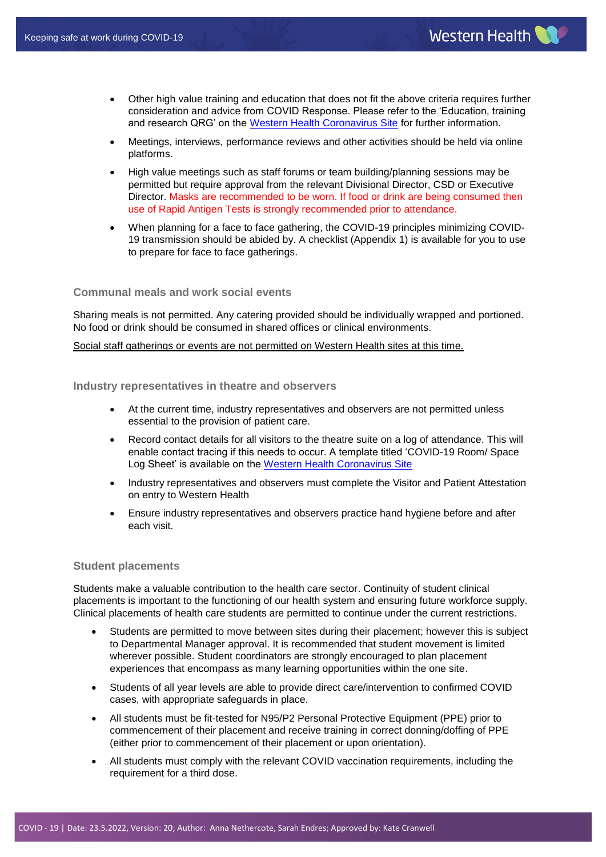- Other high value training and education that does not fit the above criteria requires further consideration and advice from COVID Response. Please refer to the 'Education, training and research QRG' on the [Western Health Coronavirus Site](https://coronavirus.wh.org.au/quick-reference-guides/) for further information.
- Meetings, interviews, performance reviews and other activities should be held via online platforms.
- High value meetings such as staff forums or team building/planning sessions may be permitted but require approval from the relevant Divisional Director, CSD or Executive Director. Masks are recommended to be worn. If food or drink are being consumed then use of Rapid Antigen Tests is strongly recommended prior to attendance.
- When planning for a face to face gathering, the COVID-19 principles minimizing COVID-19 transmission should be abided by. A checklist (Appendix 1) is available for you to use to prepare for face to face gatherings.

## <span id="page-5-0"></span>**Communal meals and work social events**

Sharing meals is not permitted. Any catering provided should be individually wrapped and portioned. No food or drink should be consumed in shared offices or clinical environments.

<span id="page-5-1"></span>Social staff gatherings or events are not permitted on Western Health sites at this time.

**Industry representatives in theatre and observers** 

- At the current time, industry representatives and observers are not permitted unless essential to the provision of patient care.
- Record contact details for all visitors to the theatre suite on a log of attendance. This will enable contact tracing if this needs to occur. A template titled 'COVID-19 Room/ Space Log Sheet' is available on the [Western Health Coronavirus Site](https://coronavirus.wh.org.au/quick-reference-guides/)
- Industry representatives and observers must complete the Visitor and Patient Attestation on entry to Western Health
- Ensure industry representatives and observers practice hand hygiene before and after each visit.

## <span id="page-5-2"></span>**Student placements**

Students make a valuable contribution to the health care sector. Continuity of student clinical placements is important to the functioning of our health system and ensuring future workforce supply. Clinical placements of health care students are permitted to continue under the current restrictions.

- Students are permitted to move between sites during their placement; however this is subject to Departmental Manager approval. It is recommended that student movement is limited wherever possible. Student coordinators are strongly encouraged to plan placement experiences that encompass as many learning opportunities within the one site.
- Students of all year levels are able to provide direct care/intervention to confirmed COVID cases, with appropriate safeguards in place.
- All students must be fit-tested for N95/P2 Personal Protective Equipment (PPE) prior to commencement of their placement and receive training in correct donning/doffing of PPE (either prior to commencement of their placement or upon orientation).
- All students must comply with the relevant COVID vaccination requirements, including the requirement for a third dose.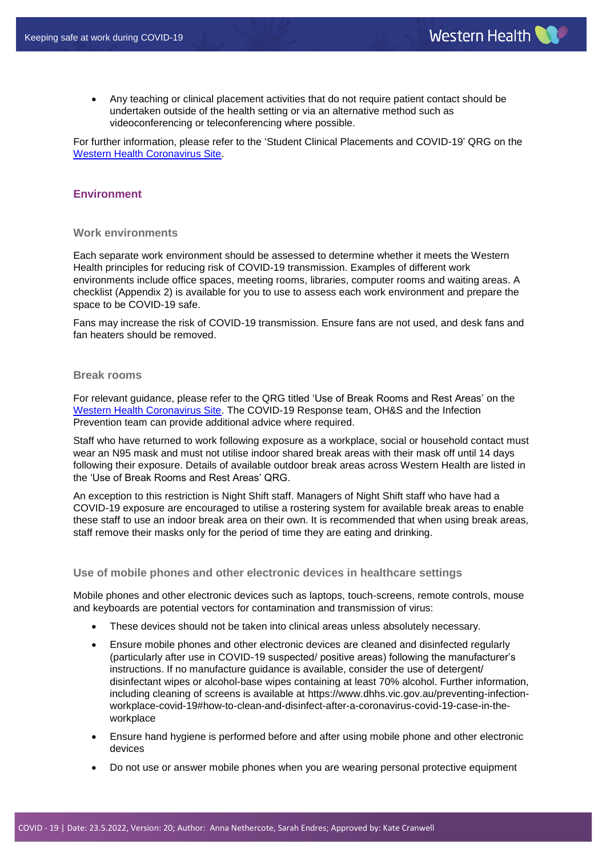Any teaching or clinical placement activities that do not require patient contact should be undertaken outside of the health setting or via an alternative method such as videoconferencing or teleconferencing where possible.

For further information, please refer to the 'Student Clinical Placements and COVID-19' QRG on the [Western Health Coronavirus Site.](https://coronavirus.wh.org.au/quick-reference-guides/)

# <span id="page-6-0"></span>**Environment**

## <span id="page-6-1"></span>**Work environments**

Each separate work environment should be assessed to determine whether it meets the Western Health principles for reducing risk of COVID-19 transmission. Examples of different work environments include office spaces, meeting rooms, libraries, computer rooms and waiting areas. A checklist (Appendix 2) is available for you to use to assess each work environment and prepare the space to be COVID-19 safe.

Fans may increase the risk of COVID-19 transmission. Ensure fans are not used, and desk fans and fan heaters should be removed.

## <span id="page-6-2"></span>**Break rooms**

For relevant guidance, please refer to the QRG titled 'Use of Break Rooms and Rest Areas' on the [Western Health Coronavirus Site.](https://coronavirus.wh.org.au/quick-reference-guides/) The COVID-19 Response team, OH&S and the Infection Prevention team can provide additional advice where required.

Staff who have returned to work following exposure as a workplace, social or household contact must wear an N95 mask and must not utilise indoor shared break areas with their mask off until 14 days following their exposure. Details of available outdoor break areas across Western Health are listed in the 'Use of Break Rooms and Rest Areas' QRG.

An exception to this restriction is Night Shift staff. Managers of Night Shift staff who have had a COVID-19 exposure are encouraged to utilise a rostering system for available break areas to enable these staff to use an indoor break area on their own. It is recommended that when using break areas, staff remove their masks only for the period of time they are eating and drinking.

#### <span id="page-6-3"></span>**Use of mobile phones and other electronic devices in healthcare settings**

Mobile phones and other electronic devices such as laptops, touch-screens, remote controls, mouse and keyboards are potential vectors for contamination and transmission of virus:

- These devices should not be taken into clinical areas unless absolutely necessary.
- Ensure mobile phones and other electronic devices are cleaned and disinfected regularly (particularly after use in COVID-19 suspected/ positive areas) following the manufacturer's instructions. If no manufacture guidance is available, consider the use of detergent/ disinfectant wipes or alcohol-base wipes containing at least 70% alcohol. Further information, including cleaning of screens is available at [https://www.dhhs.vic.gov.au/preventing-infection](https://www.dhhs.vic.gov.au/preventing-infection-workplace-covid-19#how-to-clean-and-disinfect-after-a-coronavirus-covid-19-case-in-the-workplace)[workplace-covid-19#how-to-clean-and-disinfect-after-a-coronavirus-covid-19-case-in-the](https://www.dhhs.vic.gov.au/preventing-infection-workplace-covid-19#how-to-clean-and-disinfect-after-a-coronavirus-covid-19-case-in-the-workplace)[workplace](https://www.dhhs.vic.gov.au/preventing-infection-workplace-covid-19#how-to-clean-and-disinfect-after-a-coronavirus-covid-19-case-in-the-workplace)
- Ensure hand hygiene is performed before and after using mobile phone and other electronic devices
- Do not use or answer mobile phones when you are wearing personal protective equipment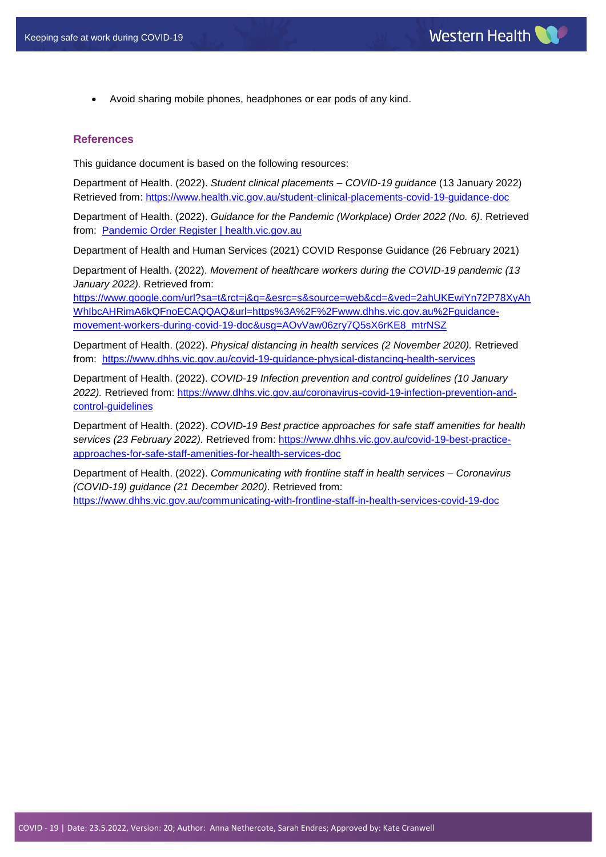Avoid sharing mobile phones, headphones or ear pods of any kind.

#### <span id="page-7-0"></span>**References**

This guidance document is based on the following resources:

Department of Health. (2022). *Student clinical placements – COVID-19 guidance* (13 January 2022) Retrieved from: <https://www.health.vic.gov.au/student-clinical-placements-covid-19-guidance-doc>

Department of Health. (2022). *Guidance for the Pandemic (Workplace) Order 2022 (No. 6)*. Retrieved from: [Pandemic Order Register | health.vic.gov.au](https://www.health.vic.gov.au/covid-19/pandemic-order-register)

Department of Health and Human Services (2021) COVID Response Guidance (26 February 2021)

Department of Health. (2022). *Movement of healthcare workers during the COVID-19 pandemic (13 January 2022).* Retrieved from:

[https://www.google.com/url?sa=t&rct=j&q=&esrc=s&source=web&cd=&ved=2ahUKEwiYn72P78XyAh](https://www.google.com/url?sa=t&rct=j&q=&esrc=s&source=web&cd=&ved=2ahUKEwiYn72P78XyAhWhIbcAHRimA6kQFnoECAQQAQ&url=https%3A%2F%2Fwww.dhhs.vic.gov.au%2Fguidance-movement-workers-during-covid-19-doc&usg=AOvVaw06zry7Q5sX6rKE8_mtrNSZ) [WhIbcAHRimA6kQFnoECAQQAQ&url=https%3A%2F%2Fwww.dhhs.vic.gov.au%2Fguidance](https://www.google.com/url?sa=t&rct=j&q=&esrc=s&source=web&cd=&ved=2ahUKEwiYn72P78XyAhWhIbcAHRimA6kQFnoECAQQAQ&url=https%3A%2F%2Fwww.dhhs.vic.gov.au%2Fguidance-movement-workers-during-covid-19-doc&usg=AOvVaw06zry7Q5sX6rKE8_mtrNSZ)[movement-workers-during-covid-19-doc&usg=AOvVaw06zry7Q5sX6rKE8\\_mtrNSZ](https://www.google.com/url?sa=t&rct=j&q=&esrc=s&source=web&cd=&ved=2ahUKEwiYn72P78XyAhWhIbcAHRimA6kQFnoECAQQAQ&url=https%3A%2F%2Fwww.dhhs.vic.gov.au%2Fguidance-movement-workers-during-covid-19-doc&usg=AOvVaw06zry7Q5sX6rKE8_mtrNSZ)

Department of Health. (2022). *Physical distancing in health services (2 November 2020).* Retrieved from: <https://www.dhhs.vic.gov.au/covid-19-guidance-physical-distancing-health-services>

Department of Health. (2022). *COVID-19 Infection prevention and control guidelines (10 January 2022).* Retrieved from: [https://www.dhhs.vic.gov.au/coronavirus-covid-19-infection-prevention-and](https://www.dhhs.vic.gov.au/coronavirus-covid-19-infection-prevention-and-control-guidelines)[control-guidelines](https://www.dhhs.vic.gov.au/coronavirus-covid-19-infection-prevention-and-control-guidelines)

Department of Health. (2022). *COVID-19 Best practice approaches for safe staff amenities for health services (23 February 2022).* Retrieved from[: https://www.dhhs.vic.gov.au/covid-19-best-practice](https://www.dhhs.vic.gov.au/covid-19-best-practice-approaches-for-safe-staff-amenities-for-health-services-doc)[approaches-for-safe-staff-amenities-for-health-services-doc](https://www.dhhs.vic.gov.au/covid-19-best-practice-approaches-for-safe-staff-amenities-for-health-services-doc) 

Department of Health. (2022). *Communicating with frontline staff in health services – Coronavirus (COVID-19) guidance (21 December 2020)*. Retrieved from: <https://www.dhhs.vic.gov.au/communicating-with-frontline-staff-in-health-services-covid-19-doc>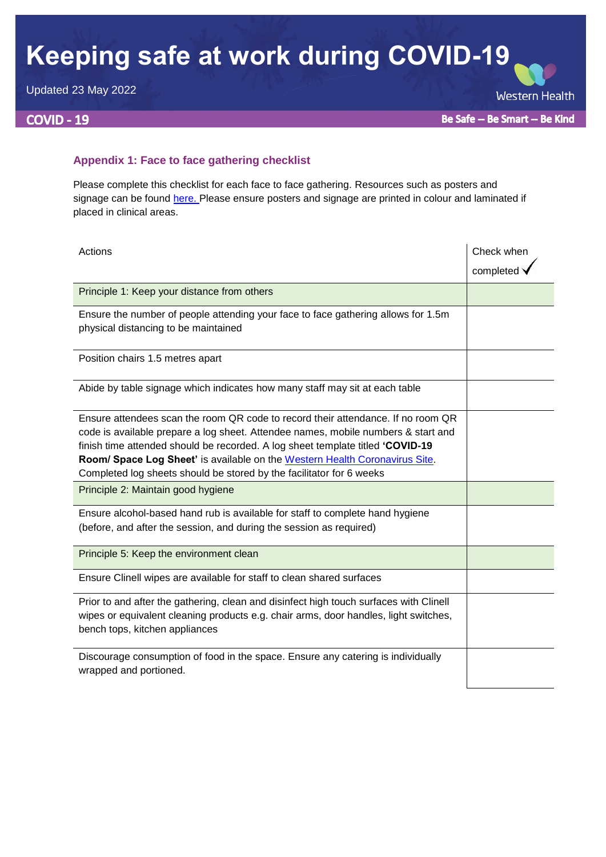# **Keeping safe at work during COVID-19**

Updated 23 May 2022

# **COVID - 19**

**Western Health** 

## <span id="page-8-0"></span>**Appendix 1: Face to face gathering checklist**

Please complete this checklist for each face to face gathering. Resources such as posters and signage can be found [here.](https://coronavirus.wh.org.au/important-resources-links/western-health-resources/) Please ensure posters and signage are printed in colour and laminated if placed in clinical areas.

| Actions                                                                                                                                                                                                                                                                                                                                                                                                        | Check when |
|----------------------------------------------------------------------------------------------------------------------------------------------------------------------------------------------------------------------------------------------------------------------------------------------------------------------------------------------------------------------------------------------------------------|------------|
|                                                                                                                                                                                                                                                                                                                                                                                                                | completed  |
| Principle 1: Keep your distance from others                                                                                                                                                                                                                                                                                                                                                                    |            |
| Ensure the number of people attending your face to face gathering allows for 1.5m<br>physical distancing to be maintained                                                                                                                                                                                                                                                                                      |            |
| Position chairs 1.5 metres apart                                                                                                                                                                                                                                                                                                                                                                               |            |
| Abide by table signage which indicates how many staff may sit at each table                                                                                                                                                                                                                                                                                                                                    |            |
| Ensure attendees scan the room QR code to record their attendance. If no room QR<br>code is available prepare a log sheet. Attendee names, mobile numbers & start and<br>finish time attended should be recorded. A log sheet template titled 'COVID-19<br>Room/ Space Log Sheet' is available on the Western Health Coronavirus Site.<br>Completed log sheets should be stored by the facilitator for 6 weeks |            |
| Principle 2: Maintain good hygiene                                                                                                                                                                                                                                                                                                                                                                             |            |
| Ensure alcohol-based hand rub is available for staff to complete hand hygiene<br>(before, and after the session, and during the session as required)                                                                                                                                                                                                                                                           |            |
| Principle 5: Keep the environment clean                                                                                                                                                                                                                                                                                                                                                                        |            |
| Ensure Clinell wipes are available for staff to clean shared surfaces                                                                                                                                                                                                                                                                                                                                          |            |
| Prior to and after the gathering, clean and disinfect high touch surfaces with Clinell<br>wipes or equivalent cleaning products e.g. chair arms, door handles, light switches,<br>bench tops, kitchen appliances                                                                                                                                                                                               |            |
| Discourage consumption of food in the space. Ensure any catering is individually<br>wrapped and portioned.                                                                                                                                                                                                                                                                                                     |            |